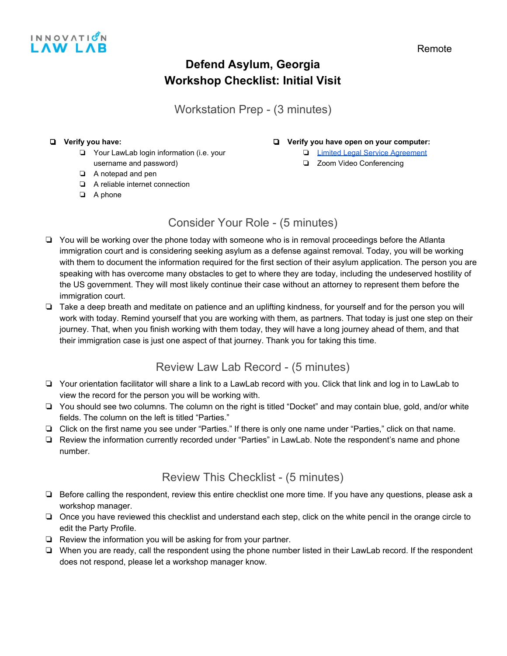

# **Defend Asylum, Georgia Workshop Checklist: Initial Visit**

Workstation Prep - (3 minutes)

#### ❏ **Verify you have:**

- ❏ Your LawLab login information (i.e. your
- username and password)
- ❏ A notepad and pen
- ❏ A reliable internet connection
- ❏ A phone

#### ❏ **Verify you have open on your computer:**

- ❏ [Limited Legal Service Agreement](https://docs.google.com/document/d/1GHmnKwSI2N58YmxFCBksX9xj7-q3xAGxC5uVKGmoSV4/edit)
- ❏ Zoom Video Conferencing
- Consider Your Role (5 minutes)
- ❏ You will be working over the phone today with someone who is in removal proceedings before the Atlanta immigration court and is considering seeking asylum as a defense against removal. Today, you will be working with them to document the information required for the first section of their asylum application. The person you are speaking with has overcome many obstacles to get to where they are today, including the undeserved hostility of the US government. They will most likely continue their case without an attorney to represent them before the immigration court.
- ❏ Take a deep breath and meditate on patience and an uplifting kindness, for yourself and for the person you will work with today. Remind yourself that you are working with them, as partners. That today is just one step on their journey. That, when you finish working with them today, they will have a long journey ahead of them, and that their immigration case is just one aspect of that journey. Thank you for taking this time.

# Review Law Lab Record - (5 minutes)

- ❏ Your orientation facilitator will share a link to a LawLab record with you. Click that link and log in to LawLab to view the record for the person you will be working with.
- ❏ You should see two columns. The column on the right is titled "Docket" and may contain blue, gold, and/or white fields. The column on the left is titled "Parties."
- ❏ Click on the first name you see under "Parties." If there is only one name under "Parties," click on that name.
- ❏ Review the information currently recorded under "Parties" in LawLab. Note the respondent's name and phone number.

# Review This Checklist - (5 minutes)

- ❏ Before calling the respondent, review this entire checklist one more time. If you have any questions, please ask a workshop manager.
- ❏ Once you have reviewed this checklist and understand each step, click on the white pencil in the orange circle to edit the Party Profile.
- ❏ Review the information you will be asking for from your partner.
- ❏ When you are ready, call the respondent using the phone number listed in their LawLab record. If the respondent does not respond, please let a workshop manager know.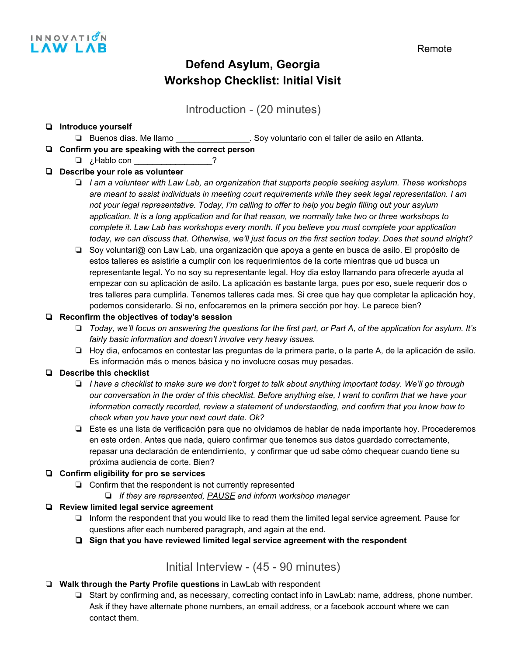

# **Defend Asylum, Georgia Workshop Checklist: Initial Visit**

Introduction - (20 minutes)

#### ❏ **Introduce yourself**

- ❏ Buenos días. Me llamo \_\_\_\_\_\_\_\_\_\_\_\_\_\_\_\_. Soy voluntario con el taller de asilo en Atlanta.
- ❏ **Confirm you are speaking with the correct person**

## ❏ ¿Hablo con \_\_\_\_\_\_\_\_\_\_\_\_\_\_\_\_\_?

#### ❏ **Describe your role as volunteer**

- ❏ *I am a volunteer with Law Lab, an organization that supports people seeking asylum. These workshops are meant to assist individuals in meeting court requirements while they seek legal representation. I am not your legal representative. Today, I'm calling to offer to help you begin filling out your asylum* application. It is a long application and for that reason, we normally take two or three workshops to *complete it. Law Lab has workshops every month. If you believe you must complete your application* today, we can discuss that. Otherwise, we'll just focus on the first section today. Does that sound alright?
- ❏ Soy voluntari@ con Law Lab, una organización que apoya a gente en busca de asilo. El propósito de estos talleres es asistirle a cumplir con los requerimientos de la corte mientras que ud busca un representante legal. Yo no soy su representante legal. Hoy dia estoy llamando para ofrecerle ayuda al empezar con su aplicación de asilo. La aplicación es bastante larga, pues por eso, suele requerir dos o tres talleres para cumplirla. Tenemos talleres cada mes. Si cree que hay que completar la aplicación hoy, podemos considerarlo. Si no, enfocaremos en la primera sección por hoy. Le parece bien?

#### ❏ **Reconfirm the objectives of today's session**

- □ Today, we'll focus on answering the questions for the first part, or Part A, of the application for asylum. It's *fairly basic information and doesn't involve very heavy issues.*
- ❏ Hoy dia, enfocamos en contestar las preguntas de la primera parte, o la parte A, de la aplicación de asilo. Es información más o menos básica y no involucre cosas muy pesadas.

### ❏ **Describe this checklist**

- $\Box$  I have a checklist to make sure we don't forget to talk about anything important today. We'll go through our conversation in the order of this checklist. Before anything else, I want to confirm that we have your *information correctly recorded, review a statement of understanding, and confirm that you know how to check when you have your next court date. Ok?*
- ❏ Este es una lista de verificación para que no olvidamos de hablar de nada importante hoy. Procederemos en este orden. Antes que nada, quiero confirmar que tenemos sus datos guardado correctamente, repasar una declaración de entendimiento, y confirmar que ud sabe cómo chequear cuando tiene su próxima audiencia de corte. Bien?

### ❏ **Confirm eligibility for pro se services**

- ❏ Confirm that the respondent is not currently represented
	- ❏ *If they are represented, PAUSE and inform workshop manager*

#### ❏ **Review limited legal service agreement**

- ❏ Inform the respondent that you would like to read them the limited legal service agreement. Pause for questions after each numbered paragraph, and again at the end.
- ❏ **Sign that you have reviewed limited legal service agreement with the respondent**

Initial Interview - (45 - 90 minutes)

### ❏ **Walk through the Party Profile questions** in LawLab with respondent

❏ Start by confirming and, as necessary, correcting contact info in LawLab: name, address, phone number. Ask if they have alternate phone numbers, an email address, or a facebook account where we can contact them.